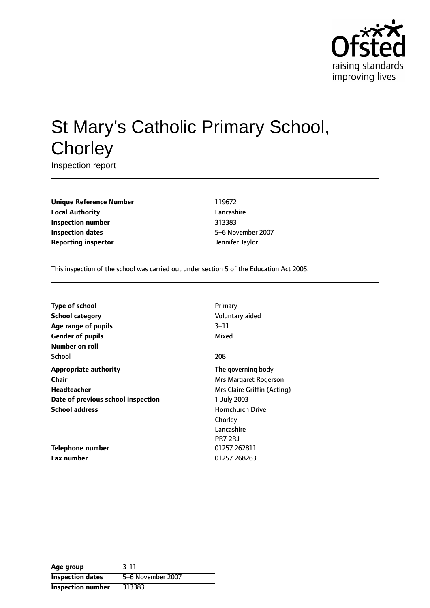

# St Mary's Catholic Primary School, **Chorley**

Inspection report

**Unique Reference Number** 119672 **Local Authority** Lancashire **Inspection number** 313383 **Inspection dates** 5-6 November 2007 **Reporting inspector and a set of the Separate Separate Separate Separate Separate Separate Separate Separate Separate Separate Separate Separate Separate Separate Separate Separate Separate Separate Separate Separate Se** 

This inspection of the school was carried out under section 5 of the Education Act 2005.

| Type of school                     | Primary                     |
|------------------------------------|-----------------------------|
| School category                    | Voluntary aided             |
| Age range of pupils                | $3 - 11$                    |
| <b>Gender of pupils</b>            | Mixed                       |
| Number on roll                     |                             |
| School                             | 208                         |
| <b>Appropriate authority</b>       | The governing body          |
| Chair                              | Mrs Margaret Rogerson       |
| Headteacher                        | Mrs Claire Griffin (Acting) |
| Date of previous school inspection | 1 July 2003                 |
| <b>School address</b>              | <b>Hornchurch Drive</b>     |
|                                    | Chorley                     |
|                                    | Lancashire                  |
|                                    | PR7 2RJ                     |
| <b>Telephone number</b>            | 01257 262811                |
| Fax number                         | 01257 268263                |

| Age group                | $3 - 11$          |
|--------------------------|-------------------|
| <b>Inspection dates</b>  | 5–6 November 2007 |
| <b>Inspection number</b> | 313383            |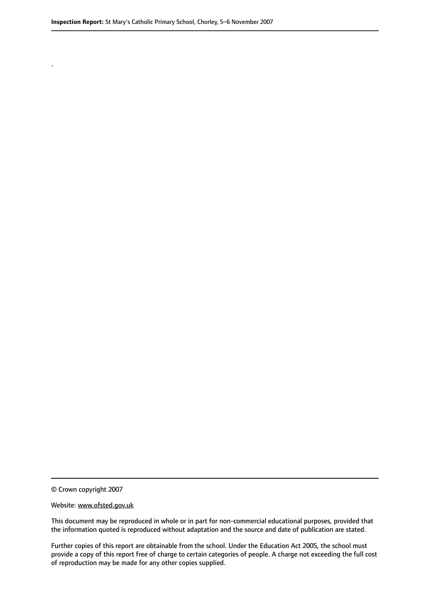.

© Crown copyright 2007

#### Website: www.ofsted.gov.uk

This document may be reproduced in whole or in part for non-commercial educational purposes, provided that the information quoted is reproduced without adaptation and the source and date of publication are stated.

Further copies of this report are obtainable from the school. Under the Education Act 2005, the school must provide a copy of this report free of charge to certain categories of people. A charge not exceeding the full cost of reproduction may be made for any other copies supplied.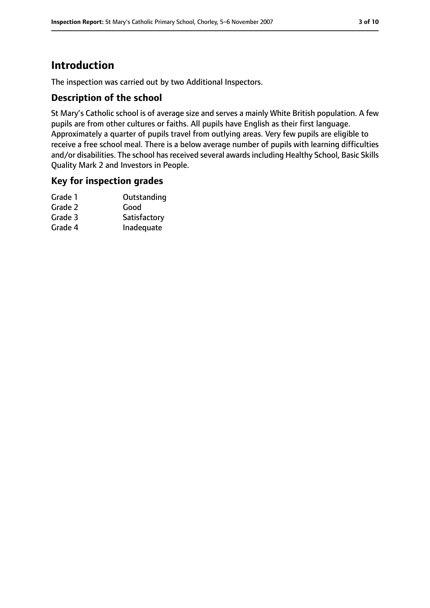# **Introduction**

The inspection was carried out by two Additional Inspectors.

### **Description of the school**

St Mary's Catholic school is of average size and serves a mainly White British population. A few pupils are from other cultures or faiths. All pupils have English as their first language. Approximately a quarter of pupils travel from outlying areas. Very few pupils are eligible to receive a free school meal. There is a below average number of pupils with learning difficulties and/or disabilities. The school has received several awards including Healthy School, Basic Skills Quality Mark 2 and Investors in People.

### **Key for inspection grades**

| Outstanding  |
|--------------|
| Good         |
| Satisfactory |
| Inadequate   |
|              |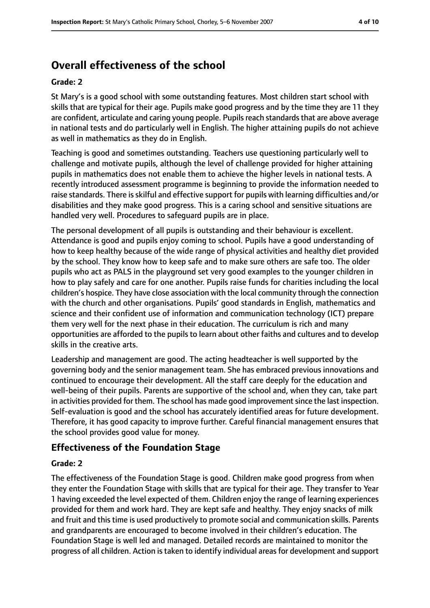# **Overall effectiveness of the school**

#### **Grade: 2**

St Mary's is a good school with some outstanding features. Most children start school with skills that are typical for their age. Pupils make good progress and by the time they are 11 they are confident, articulate and caring young people. Pupils reach standards that are above average in national tests and do particularly well in English. The higher attaining pupils do not achieve as well in mathematics as they do in English.

Teaching is good and sometimes outstanding. Teachers use questioning particularly well to challenge and motivate pupils, although the level of challenge provided for higher attaining pupils in mathematics does not enable them to achieve the higher levels in national tests. A recently introduced assessment programme is beginning to provide the information needed to raise standards. There is skilful and effective support for pupils with learning difficulties and/or disabilities and they make good progress. This is a caring school and sensitive situations are handled very well. Procedures to safeguard pupils are in place.

The personal development of all pupils is outstanding and their behaviour is excellent. Attendance is good and pupils enjoy coming to school. Pupils have a good understanding of how to keep healthy because of the wide range of physical activities and healthy diet provided by the school. They know how to keep safe and to make sure others are safe too. The older pupils who act as PALS in the playground set very good examples to the younger children in how to play safely and care for one another. Pupils raise funds for charities including the local children's hospice. They have close association with the local community through the connection with the church and other organisations. Pupils' good standards in English, mathematics and science and their confident use of information and communication technology (ICT) prepare them very well for the next phase in their education. The curriculum is rich and many opportunities are afforded to the pupils to learn about other faiths and cultures and to develop skills in the creative arts.

Leadership and management are good. The acting headteacher is well supported by the governing body and the senior management team. She has embraced previous innovations and continued to encourage their development. All the staff care deeply for the education and well-being of their pupils. Parents are supportive of the school and, when they can, take part in activities provided for them. The school has made good improvement since the last inspection. Self-evaluation is good and the school has accurately identified areas for future development. Therefore, it has good capacity to improve further. Careful financial management ensures that the school provides good value for money.

# **Effectiveness of the Foundation Stage**

#### **Grade: 2**

The effectiveness of the Foundation Stage is good. Children make good progress from when they enter the Foundation Stage with skills that are typical for their age. They transfer to Year 1 having exceeded the level expected of them. Children enjoy the range of learning experiences provided for them and work hard. They are kept safe and healthy. They enjoy snacks of milk and fruit and this time is used productively to promote social and communication skills. Parents and grandparents are encouraged to become involved in their children's education. The Foundation Stage is well led and managed. Detailed records are maintained to monitor the progress of all children. Action is taken to identify individual areas for development and support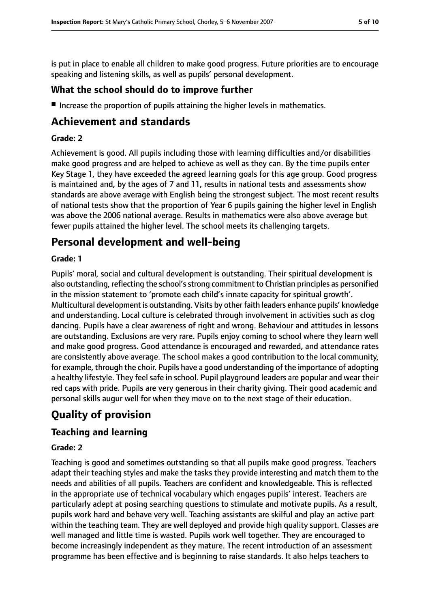is put in place to enable all children to make good progress. Future priorities are to encourage speaking and listening skills, as well as pupils' personal development.

# **What the school should do to improve further**

■ Increase the proportion of pupils attaining the higher levels in mathematics.

# **Achievement and standards**

### **Grade: 2**

Achievement is good. All pupils including those with learning difficulties and/or disabilities make good progress and are helped to achieve as well as they can. By the time pupils enter Key Stage 1, they have exceeded the agreed learning goals for this age group. Good progress is maintained and, by the ages of 7 and 11, results in national tests and assessments show standards are above average with English being the strongest subject. The most recent results of national tests show that the proportion of Year 6 pupils gaining the higher level in English was above the 2006 national average. Results in mathematics were also above average but fewer pupils attained the higher level. The school meets its challenging targets.

# **Personal development and well-being**

#### **Grade: 1**

Pupils' moral, social and cultural development is outstanding. Their spiritual development is also outstanding, reflecting the school's strong commitment to Christian principles as personified in the mission statement to 'promote each child's innate capacity for spiritual growth'. Multicultural development is outstanding. Visits by other faith leaders enhance pupils' knowledge and understanding. Local culture is celebrated through involvement in activities such as clog dancing. Pupils have a clear awareness of right and wrong. Behaviour and attitudes in lessons are outstanding. Exclusions are very rare. Pupils enjoy coming to school where they learn well and make good progress. Good attendance is encouraged and rewarded, and attendance rates are consistently above average. The school makes a good contribution to the local community, for example, through the choir. Pupils have a good understanding of the importance of adopting a healthy lifestyle. They feel safe in school. Pupil playground leaders are popular and wear their red caps with pride. Pupils are very generous in their charity giving. Their good academic and personal skills augur well for when they move on to the next stage of their education.

# **Quality of provision**

# **Teaching and learning**

### **Grade: 2**

Teaching is good and sometimes outstanding so that all pupils make good progress. Teachers adapt their teaching styles and make the tasks they provide interesting and match them to the needs and abilities of all pupils. Teachers are confident and knowledgeable. This is reflected in the appropriate use of technical vocabulary which engages pupils' interest. Teachers are particularly adept at posing searching questions to stimulate and motivate pupils. As a result, pupils work hard and behave very well. Teaching assistants are skilful and play an active part within the teaching team. They are well deployed and provide high quality support. Classes are well managed and little time is wasted. Pupils work well together. They are encouraged to become increasingly independent as they mature. The recent introduction of an assessment programme has been effective and is beginning to raise standards. It also helps teachers to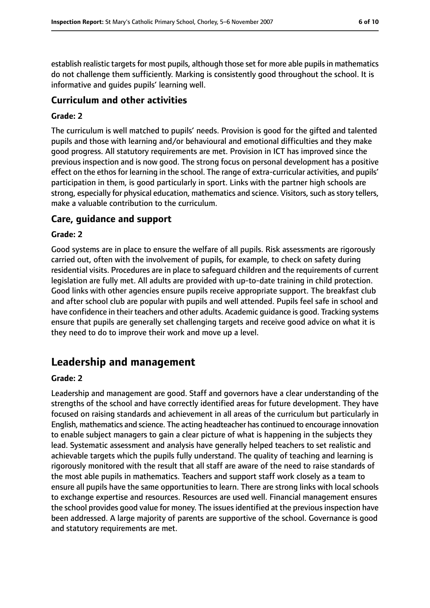establish realistic targets for most pupils, although those set for more able pupils in mathematics do not challenge them sufficiently. Marking is consistently good throughout the school. It is informative and guides pupils' learning well.

### **Curriculum and other activities**

#### **Grade: 2**

The curriculum is well matched to pupils' needs. Provision is good for the gifted and talented pupils and those with learning and/or behavioural and emotional difficulties and they make good progress. All statutory requirements are met. Provision in ICT has improved since the previous inspection and is now good. The strong focus on personal development has a positive effect on the ethos for learning in the school. The range of extra-curricular activities, and pupils' participation in them, is good particularly in sport. Links with the partner high schools are strong, especially for physical education, mathematics and science. Visitors, such as story tellers, make a valuable contribution to the curriculum.

#### **Care, guidance and support**

#### **Grade: 2**

Good systems are in place to ensure the welfare of all pupils. Risk assessments are rigorously carried out, often with the involvement of pupils, for example, to check on safety during residential visits. Procedures are in place to safeguard children and the requirements of current legislation are fully met. All adults are provided with up-to-date training in child protection. Good links with other agencies ensure pupils receive appropriate support. The breakfast club and after school club are popular with pupils and well attended. Pupils feel safe in school and have confidence in their teachers and other adults. Academic guidance is good. Tracking systems ensure that pupils are generally set challenging targets and receive good advice on what it is they need to do to improve their work and move up a level.

# **Leadership and management**

#### **Grade: 2**

Leadership and management are good. Staff and governors have a clear understanding of the strengths of the school and have correctly identified areas for future development. They have focused on raising standards and achievement in all areas of the curriculum but particularly in English, mathematics and science. The acting headteacher has continued to encourage innovation to enable subject managers to gain a clear picture of what is happening in the subjects they lead. Systematic assessment and analysis have generally helped teachers to set realistic and achievable targets which the pupils fully understand. The quality of teaching and learning is rigorously monitored with the result that all staff are aware of the need to raise standards of the most able pupils in mathematics. Teachers and support staff work closely as a team to ensure all pupils have the same opportunities to learn. There are strong links with local schools to exchange expertise and resources. Resources are used well. Financial management ensures the school provides good value for money. The issues identified at the previous inspection have been addressed. A large majority of parents are supportive of the school. Governance is good and statutory requirements are met.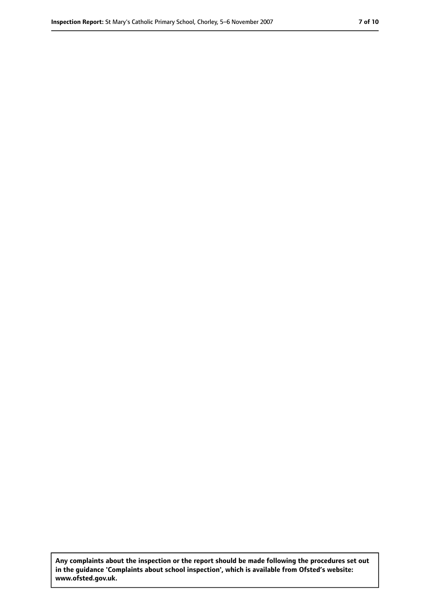**Any complaints about the inspection or the report should be made following the procedures set out in the guidance 'Complaints about school inspection', which is available from Ofsted's website: www.ofsted.gov.uk.**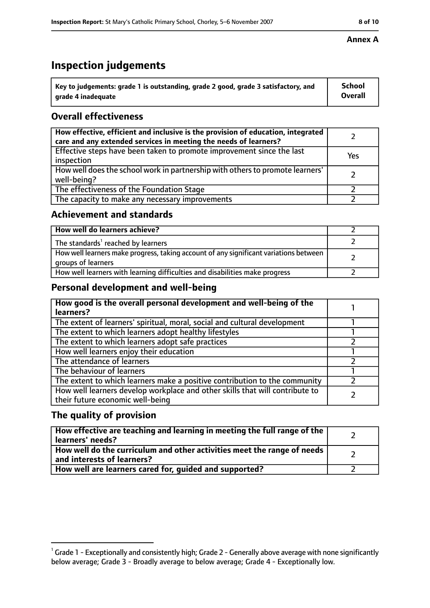# **Inspection judgements**

| $^{\backprime}$ Key to judgements: grade 1 is outstanding, grade 2 good, grade 3 satisfactory, and | <b>School</b>  |
|----------------------------------------------------------------------------------------------------|----------------|
| arade 4 inadeguate                                                                                 | <b>Overall</b> |

# **Overall effectiveness**

| How effective, efficient and inclusive is the provision of education, integrated<br>care and any extended services in meeting the needs of learners? |     |
|------------------------------------------------------------------------------------------------------------------------------------------------------|-----|
| Effective steps have been taken to promote improvement since the last<br>inspection                                                                  | Yes |
| How well does the school work in partnership with others to promote learners'<br>well-being?                                                         |     |
| The effectiveness of the Foundation Stage                                                                                                            |     |
| The capacity to make any necessary improvements                                                                                                      |     |

### **Achievement and standards**

| How well do learners achieve?                                                                               |  |
|-------------------------------------------------------------------------------------------------------------|--|
| The standards <sup>1</sup> reached by learners                                                              |  |
| How well learners make progress, taking account of any significant variations between<br>groups of learners |  |
| How well learners with learning difficulties and disabilities make progress                                 |  |

# **Personal development and well-being**

| How good is the overall personal development and well-being of the<br>learners?                                  |  |
|------------------------------------------------------------------------------------------------------------------|--|
| The extent of learners' spiritual, moral, social and cultural development                                        |  |
| The extent to which learners adopt healthy lifestyles                                                            |  |
| The extent to which learners adopt safe practices                                                                |  |
| How well learners enjoy their education                                                                          |  |
| The attendance of learners                                                                                       |  |
| The behaviour of learners                                                                                        |  |
| The extent to which learners make a positive contribution to the community                                       |  |
| How well learners develop workplace and other skills that will contribute to<br>their future economic well-being |  |

## **The quality of provision**

| How effective are teaching and learning in meeting the full range of the<br>learners' needs?          |  |
|-------------------------------------------------------------------------------------------------------|--|
| How well do the curriculum and other activities meet the range of needs<br>and interests of learners? |  |
| How well are learners cared for, guided and supported?                                                |  |

### **Annex A**

 $^1$  Grade 1 - Exceptionally and consistently high; Grade 2 - Generally above average with none significantly below average; Grade 3 - Broadly average to below average; Grade 4 - Exceptionally low.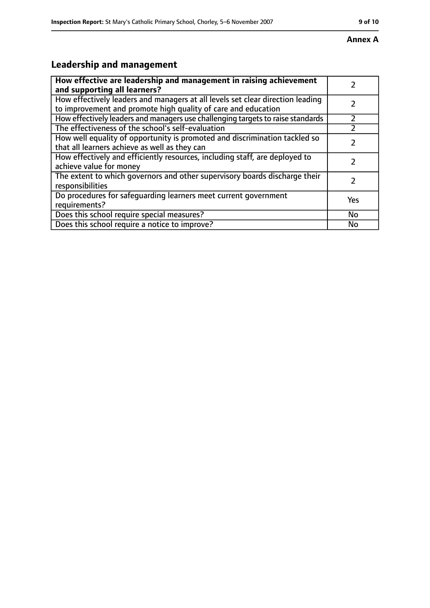#### **Annex A**

# **Leadership and management**

| How effective are leadership and management in raising achievement                                                                              |           |
|-------------------------------------------------------------------------------------------------------------------------------------------------|-----------|
| and supporting all learners?                                                                                                                    |           |
| How effectively leaders and managers at all levels set clear direction leading<br>to improvement and promote high quality of care and education |           |
| How effectively leaders and managers use challenging targets to raise standards                                                                 |           |
| The effectiveness of the school's self-evaluation                                                                                               |           |
| How well equality of opportunity is promoted and discrimination tackled so<br>that all learners achieve as well as they can                     |           |
| How effectively and efficiently resources, including staff, are deployed to<br>achieve value for money                                          | 7         |
| The extent to which governors and other supervisory boards discharge their<br>responsibilities                                                  | フ         |
| Do procedures for safequarding learners meet current government<br>requirements?                                                                | Yes       |
| Does this school require special measures?                                                                                                      | <b>No</b> |
| Does this school require a notice to improve?                                                                                                   | No        |